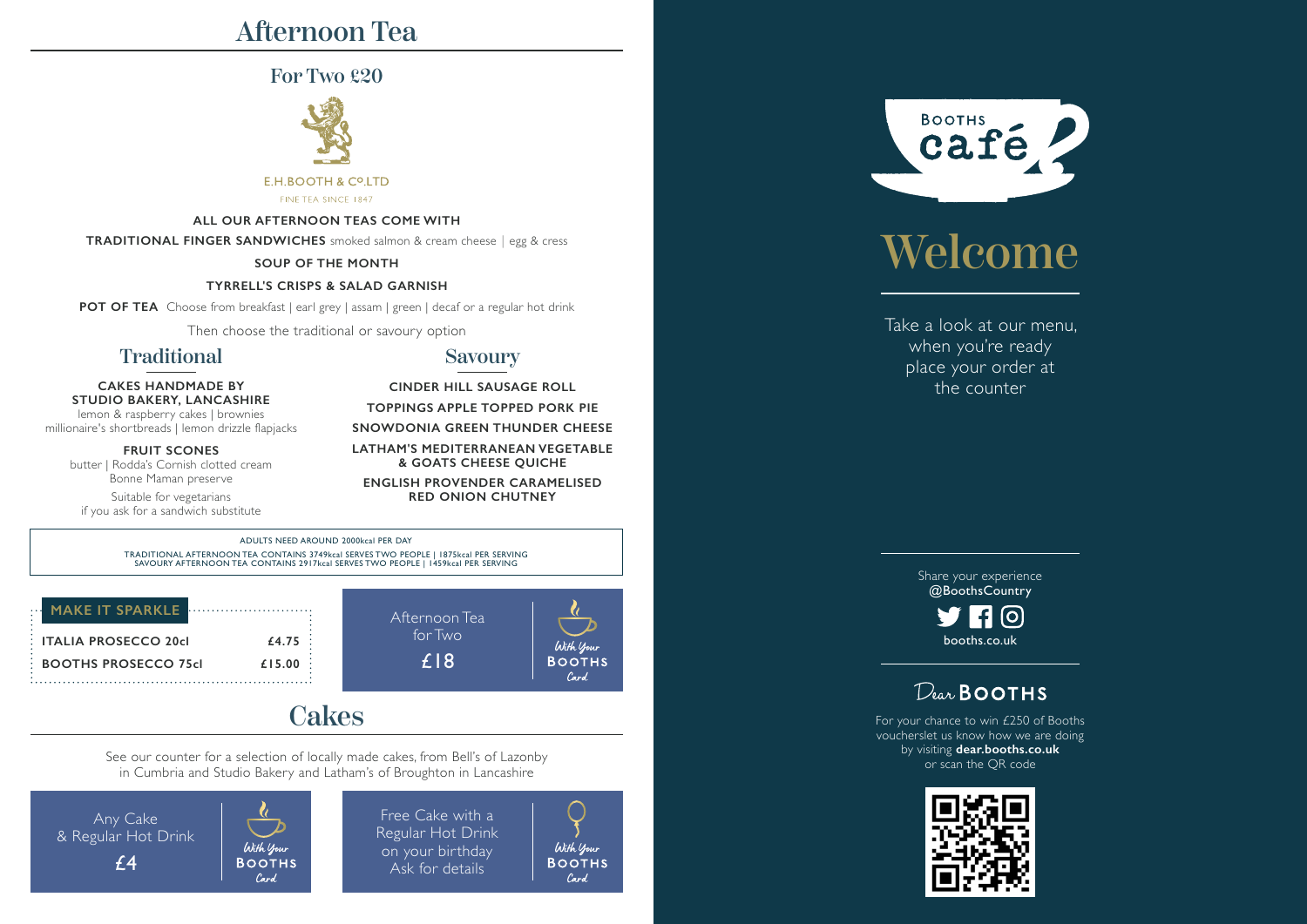# Afternoon Tea

# For Two £20



### **E.H.BOOTH & CO.LTD**

FINE TEA SINCE 1847

### **ALL OUR AFTERNOON TEAS COME WITH**

**TRADITIONAL FINGER SANDWICHES** smoked salmon & cream cheese︱egg & cress

### **SOUP OF THE MONTH**

### **TYRRELL'S CRISPS & SALAD GARNISH**

**POT OF TEA** Choose from breakfast | earl grey | assam | green | decaf or a regular hot drink

Then choose the traditional or savoury option

# Traditional

### **CAKES HANDMADE BY STUDIO BAKERY, LANCASHIRE** lemon & raspberry cakes | brownies

millionaire's shortbreads | lemon drizzle flapjacks

**FRUIT SCONES** butter | Rodda's Cornish clotted cream Bonne Maman preserve

Suitable for vegetarians if you ask for a sandwich substitute

## Savoury

**CINDER HILL SAUSAGE ROLL TOPPINGS APPLE TOPPED PORK PIE SNOWDONIA GREEN THUNDER CHEESE**

**LATHAM'S MEDITERRANEAN VEGETABLE & GOATS CHEESE QUICHE ENGLISH PROVENDER CARAMELISED**

**RED ONION CHUTNEY**

ADULTS NEED AROUND 2000kcal PER DAY TRADITIONAL AFTERNOON TEA CONTAINS 3749kcal SERVES TWO PEOPLE | 1875kcal PER SERVING SAVOURY AFTERNOON TEA CONTAINS 2917kcal SERVES TWO PEOPLE | 1459kcal PER SERVING

| <b>MAKE IT SPARKLE</b>      |        |
|-----------------------------|--------|
| <b>ITALIA PROSECCO 20cl</b> | £4.75  |
| <b>BOOTHS PROSECCO 75cl</b> | £15.00 |
|                             |        |



# **Cakes**

See our counter for a selection of locally made cakes, from Bell's of Lazonby in Cumbria and Studio Bakery and Latham's of Broughton in Lancashire

Any Cake & Regular Hot Drink £4

With your **BOOTHS** Card.

Free Cake with a Regular Hot Drink on your birthday Ask for details

With your **BOOTHS** Card.

With Your **BOOTHS** Card



# Welcome

Take a look at our menu, when you're ready place your order at the counter

> Share your experience @BoothsCountry

 $\left[ \circ \right]$ booths.co.uk

# $D_{\text{tar}}$  BOOTHS

For your chance to win £250 of Booths voucherslet us know how we are doing by visiting **dear.booths.co.uk** or scan the QR code